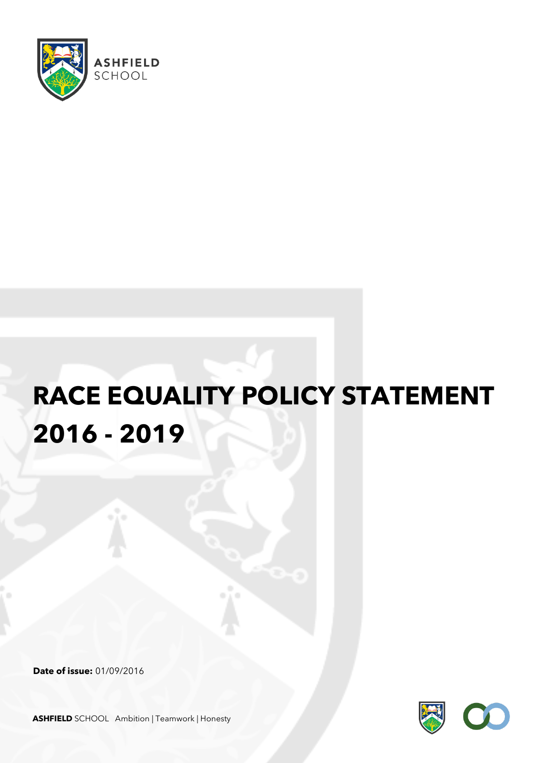

# **RACE EQUALITY POLICY STATEMENT 2016 - 2019**

**Date of issue:** 01/09/2016



**ASHFIELD** SCHOOL Ambition | Teamwork | Honesty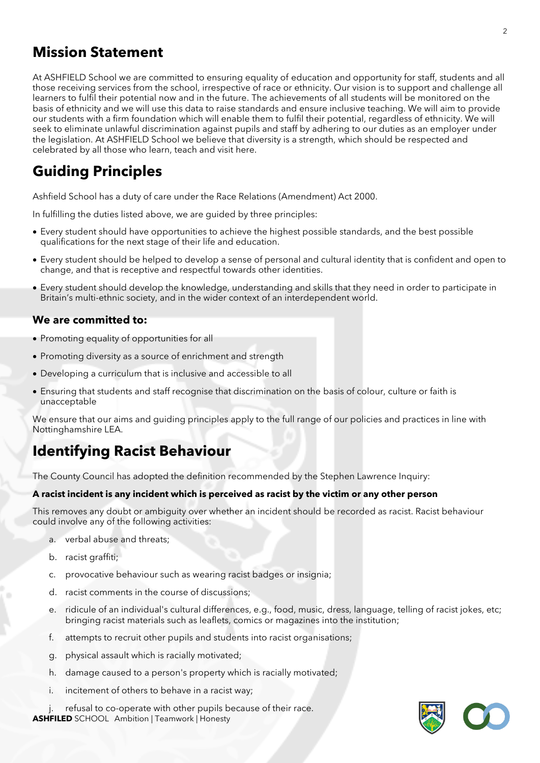## **Mission Statement**

At ASHFIELD School we are committed to ensuring equality of education and opportunity for staff, students and all those receiving services from the school, irrespective of race or ethnicity. Our vision is to support and challenge all learners to fulfil their potential now and in the future. The achievements of all students will be monitored on the basis of ethnicity and we will use this data to raise standards and ensure inclusive teaching. We will aim to provide our students with a firm foundation which will enable them to fulfil their potential, regardless of ethnicity. We will seek to eliminate unlawful discrimination against pupils and staff by adhering to our duties as an employer under the legislation. At ASHFIELD School we believe that diversity is a strength, which should be respected and celebrated by all those who learn, teach and visit here.

## **Guiding Principles**

Ashfield School has a duty of care under the Race Relations (Amendment) Act 2000.

In fulfilling the duties listed above, we are guided by three principles:

- Every student should have opportunities to achieve the highest possible standards, and the best possible qualifications for the next stage of their life and education.
- Every student should be helped to develop a sense of personal and cultural identity that is confident and open to change, and that is receptive and respectful towards other identities.
- Every student should develop the knowledge, understanding and skills that they need in order to participate in Britain's multi-ethnic society, and in the wider context of an interdependent world.

#### **We are committed to:**

- Promoting equality of opportunities for all
- Promoting diversity as a source of enrichment and strength
- Developing a curriculum that is inclusive and accessible to all
- Ensuring that students and staff recognise that discrimination on the basis of colour, culture or faith is unacceptable

We ensure that our aims and quiding principles apply to the full range of our policies and practices in line with Nottinghamshire LEA.

## **Identifying Racist Behaviour**

The County Council has adopted the definition recommended by the Stephen Lawrence Inquiry:

#### **A racist incident is any incident which is perceived as racist by the victim or any other person**

This removes any doubt or ambiguity over whether an incident should be recorded as racist. Racist behaviour could involve any of the following activities:

- a. verbal abuse and threats;
- b. racist graffiti;
- c. provocative behaviour such as wearing racist badges or insignia;
- d. racist comments in the course of discussions;
- e. ridicule of an individual's cultural differences, e.g., food, music, dress, language, telling of racist jokes, etc; bringing racist materials such as leaflets, comics or magazines into the institution;
- f. attempts to recruit other pupils and students into racist organisations;
- g. physical assault which is racially motivated;
- h. damage caused to a person's property which is racially motivated;
- i. incitement of others to behave in a racist way;

**ASHFILED** SCHOOL Ambition | Teamwork | Honesty refusal to co-operate with other pupils because of their race.

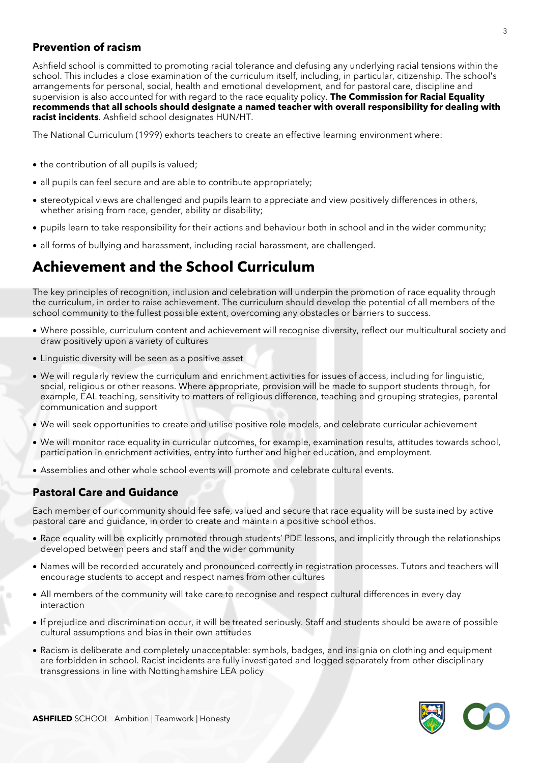#### **Prevention of racism**

Ashfield school is committed to promoting racial tolerance and defusing any underlying racial tensions within the school. This includes a close examination of the curriculum itself, including, in particular, citizenship. The school's arrangements for personal, social, health and emotional development, and for pastoral care, discipline and supervision is also accounted for with regard to the race equality policy. **The Commission for Racial Equality recommends that all schools should designate a named teacher with overall responsibility for dealing with racist incidents**. Ashfield school designates HUN/HT.

The National Curriculum (1999) exhorts teachers to create an effective learning environment where:

- the contribution of all pupils is valued;
- all pupils can feel secure and are able to contribute appropriately;
- stereotypical views are challenged and pupils learn to appreciate and view positively differences in others, whether arising from race, gender, ability or disability;
- pupils learn to take responsibility for their actions and behaviour both in school and in the wider community;
- all forms of bullying and harassment, including racial harassment, are challenged.

## **Achievement and the School Curriculum**

The key principles of recognition, inclusion and celebration will underpin the promotion of race equality through the curriculum, in order to raise achievement. The curriculum should develop the potential of all members of the school community to the fullest possible extent, overcoming any obstacles or barriers to success.

- Where possible, curriculum content and achievement will recognise diversity, reflect our multicultural society and draw positively upon a variety of cultures
- Linguistic diversity will be seen as a positive asset
- We will regularly review the curriculum and enrichment activities for issues of access, including for linguistic, social, religious or other reasons. Where appropriate, provision will be made to support students through, for example, EAL teaching, sensitivity to matters of religious difference, teaching and grouping strategies, parental communication and support
- We will seek opportunities to create and utilise positive role models, and celebrate curricular achievement
- We will monitor race equality in curricular outcomes, for example, examination results, attitudes towards school, participation in enrichment activities, entry into further and higher education, and employment.
- Assemblies and other whole school events will promote and celebrate cultural events.

#### **Pastoral Care and Guidance**

Each member of our community should fee safe, valued and secure that race equality will be sustained by active pastoral care and guidance, in order to create and maintain a positive school ethos.

- Race equality will be explicitly promoted through students' PDE lessons, and implicitly through the relationships developed between peers and staff and the wider community
- Names will be recorded accurately and pronounced correctly in registration processes. Tutors and teachers will encourage students to accept and respect names from other cultures
- All members of the community will take care to recognise and respect cultural differences in every day interaction
- If prejudice and discrimination occur, it will be treated seriously. Staff and students should be aware of possible cultural assumptions and bias in their own attitudes
- Racism is deliberate and completely unacceptable: symbols, badges, and insignia on clothing and equipment are forbidden in school. Racist incidents are fully investigated and logged separately from other disciplinary transgressions in line with Nottinghamshire LEA policy

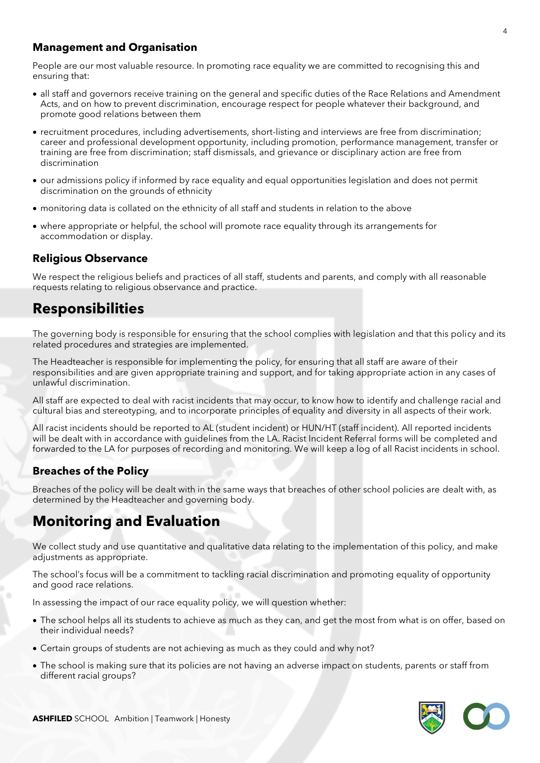#### **Management and Organisation**

People are our most valuable resource. In promoting race equality we are committed to recognising this and ensuring that:

- all staff and governors receive training on the general and specific duties of the Race Relations and Amendment Acts, and on how to prevent discrimination, encourage respect for people whatever their background, and promote good relations between them
- recruitment procedures, including advertisements, short-listing and interviews are free from discrimination; career and professional development opportunity, including promotion, performance management, transfer or training are free from discrimination; staff dismissals, and grievance or disciplinary action are free from discrimination
- our admissions policy if informed by race equality and equal opportunities legislation and does not permit discrimination on the grounds of ethnicity
- monitoring data is collated on the ethnicity of all staff and students in relation to the above
- where appropriate or helpful, the school will promote race equality through its arrangements for accommodation or display.

#### **Religious Observance**

We respect the religious beliefs and practices of all staff, students and parents, and comply with all reasonable requests relating to religious observance and practice.

## **Responsibilities**

The governing body is responsible for ensuring that the school complies with legislation and that this policy and its related procedures and strategies are implemented.

The Headteacher is responsible for implementing the policy, for ensuring that all staff are aware of their responsibilities and are given appropriate training and support, and for taking appropriate action in any cases of unlawful discrimination.

All staff are expected to deal with racist incidents that may occur, to know how to identify and challenge racial and cultural bias and stereotyping, and to incorporate principles of equality and diversity in all aspects of their work.

All racist incidents should be reported to AL (student incident) or HUN/HT (staff incident). All reported incidents will be dealt with in accordance with guidelines from the LA. Racist Incident Referral forms will be completed and forwarded to the LA for purposes of recording and monitoring. We will keep a log of all Racist incidents in school.

### **Breaches of the Policy**

Breaches of the policy will be dealt with in the same ways that breaches of other school policies are dealt with, as determined by the Headteacher and governing body.

## **Monitoring and Evaluation**

We collect study and use quantitative and qualitative data relating to the implementation of this policy, and make adjustments as appropriate.

The school's focus will be a commitment to tackling racial discrimination and promoting equality of opportunity and good race relations.

In assessing the impact of our race equality policy, we will question whether:

- The school helps all its students to achieve as much as they can, and get the most from what is on offer, based on their individual needs?
- Certain groups of students are not achieving as much as they could and why not?
- The school is making sure that its policies are not having an adverse impact on students, parents or staff from different racial groups?